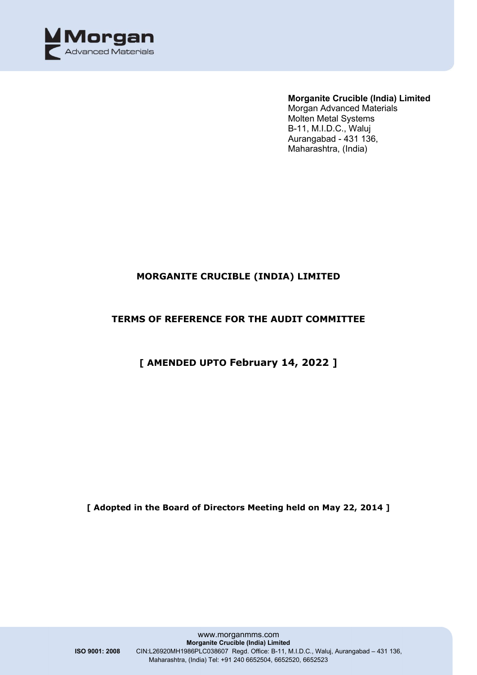

#### **Morganite Crucible (India) Limited**

Morgan Advanced Materials Molten Metal Systems B-11, M.I.D.C., Waluj Aurangabad - 431 136, Maharashtra, (India)

## **MORGANITE CRUCIBLE (INDIA) LIMITED**

## **TERMS OF REFERENCE FOR THE AUDIT COMMITTEE**

# **[ AMENDED UPTO February 14, 2022 ]**

**[ Adopted in the Board of Directors Meeting held on May 22, 2014 ]**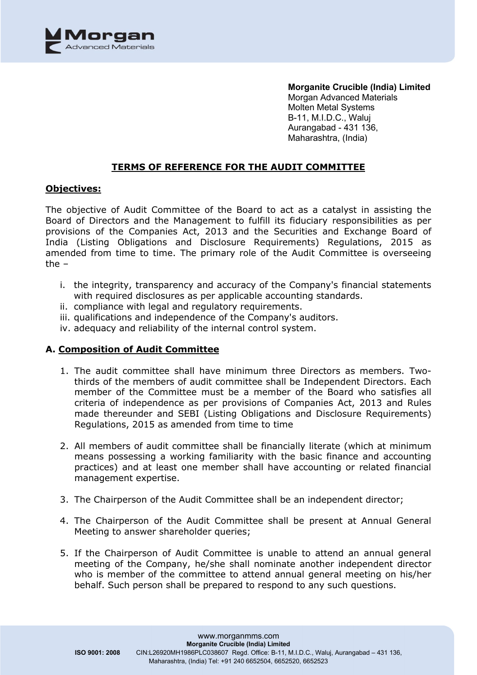

#### **TERMS OF REFERENCE FOR THE AUDIT COMMITTEE**

#### **Objectives:**

The objective of Audit Committee of the Board to act as a catalyst in assisting the Board of Directors and the Management to fulfill its fiduciary responsibilities as per provisions of the Companies Act, 2013 and the Securities and Exchange Board of India (Listing Obligations and Disclosure Requirements) Regulations, 2015 as amended from time to time. The primary role of the Audit Committee is overseeing the –

- i. the integrity, transparency and accuracy of the Company's financial statements with required disclosures as per applicable accounting standards.
- ii. compliance with legal and regulatory requirements.
- iii. qualifications and independence of the Company's auditors.
- iv. adequacy and reliability of the internal control system.

#### **A. Composition of Audit Committee**

- 1. The audit committee shall have minimum three Directors as members. Twothirds of the members of audit committee shall be Independent Directors. Each member of the Committee must be a member of the Board who satisfies all criteria of independence as per provisions of Companies Act, 2013 and Rules made thereunder and SEBI (Listing Obligations and Disclosure Requirements) Regulations, 2015 as amended from time to time
- 2. All members of audit committee shall be financially literate (which at minimum means possessing a working familiarity with the basic finance and accounting practices) and at least one member shall have accounting or related financial management expertise.
- 3. The Chairperson of the Audit Committee shall be an independent director;
- 4. The Chairperson of the Audit Committee shall be present at Annual General Meeting to answer shareholder queries;
- 5. If the Chairperson of Audit Committee is unable to attend an annual general meeting of the Company, he/she shall nominate another independent director who is member of the committee to attend annual general meeting on his/her behalf. Such person shall be prepared to respond to any such questions.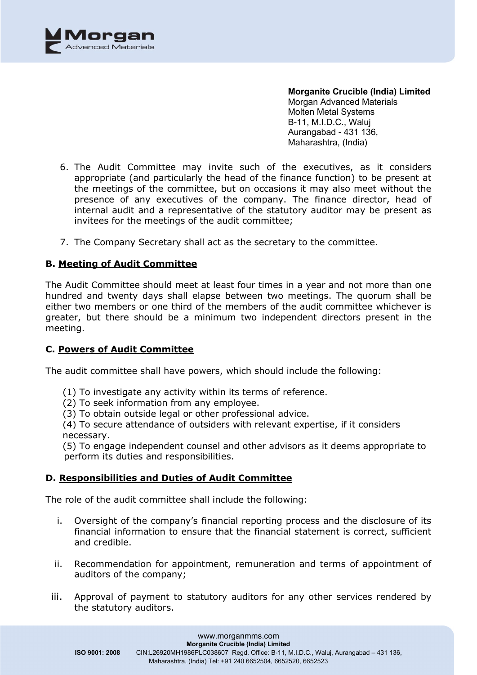

- 6. The Audit Committee may invite such of the executives, as it considers appropriate (and particularly the head of the finance function) to be present at the meetings of the committee, but on occasions it may also meet without the presence of any executives of the company. The finance director, head of internal audit and a representative of the statutory auditor may be present as invitees for the meetings of the audit committee;
- 7. The Company Secretary shall act as the secretary to the committee.

### **B. Meeting of Audit Committee**

The Audit Committee should meet at least four times in a year and not more than one hundred and twenty days shall elapse between two meetings. The quorum shall be either two members or one third of the members of the audit committee whichever is greater, but there should be a minimum two independent directors present in the meeting.

#### **C. Powers of Audit Committee**

The audit committee shall have powers, which should include the following:

- (1) To investigate any activity within its terms of reference.
- (2) To seek information from any employee.
- (3) To obtain outside legal or other professional advice.

(4) To secure attendance of outsiders with relevant expertise, if it considers necessary.

(5) To engage independent counsel and other advisors as it deems appropriate to perform its duties and responsibilities.

#### **D. Responsibilities and Duties of Audit Committee**

The role of the audit committee shall include the following:

- i. Oversight of the company's financial reporting process and the disclosure of its financial information to ensure that the financial statement is correct, sufficient and credible.
- ii. Recommendation for appointment, remuneration and terms of appointment of auditors of the company;
- iii. Approval of payment to statutory auditors for any other services rendered by the statutory auditors.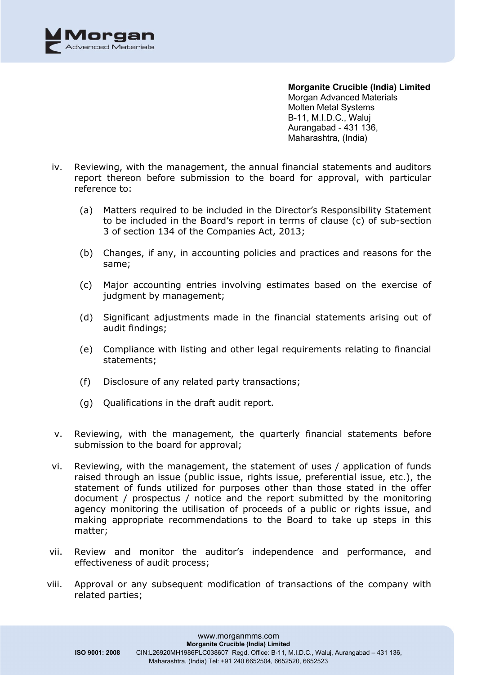

- iv. Reviewing, with the management, the annual financial statements and auditors report thereon before submission to the board for approval, with particular reference to:
	- (a) Matters required to be included in the Director's Responsibility Statement to be included in the Board's report in terms of clause (c) of sub-section 3 of section 134 of the Companies Act, 2013;
	- (b) Changes, if any, in accounting policies and practices and reasons for the same;
	- (c) Major accounting entries involving estimates based on the exercise of judgment by management;
	- (d) Significant adjustments made in the financial statements arising out of audit findings;
	- (e) Compliance with listing and other legal requirements relating to financial statements;
	- (f) Disclosure of any related party transactions;
	- (g) Qualifications in the draft audit report.
- v. Reviewing, with the management, the quarterly financial statements before submission to the board for approval;
- vi. Reviewing, with the management, the statement of uses / application of funds raised through an issue (public issue, rights issue, preferential issue, etc.), the statement of funds utilized for purposes other than those stated in the offer document / prospectus / notice and the report submitted by the monitoring agency monitoring the utilisation of proceeds of a public or rights issue, and making appropriate recommendations to the Board to take up steps in this matter;
- vii. Review and monitor the auditor's independence and performance, and effectiveness of audit process;
- viii. Approval or any subsequent modification of transactions of the company with related parties;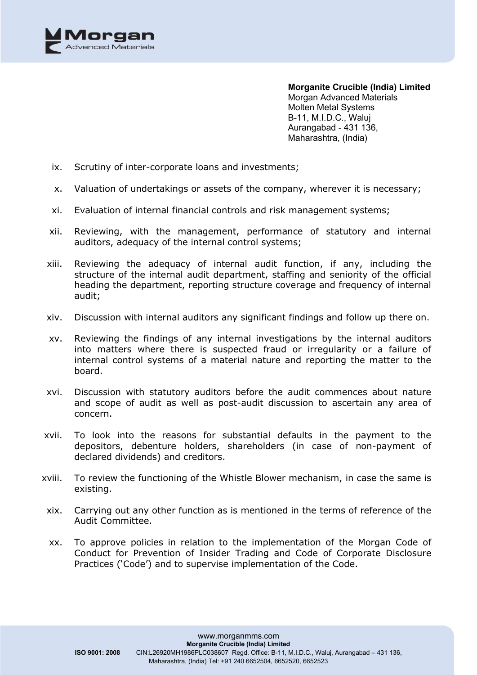

- ix. Scrutiny of inter-corporate loans and investments;
- x. Valuation of undertakings or assets of the company, wherever it is necessary;
- xi. Evaluation of internal financial controls and risk management systems;
- xii. Reviewing, with the management, performance of statutory and internal auditors, adequacy of the internal control systems;
- xiii. Reviewing the adequacy of internal audit function, if any, including the structure of the internal audit department, staffing and seniority of the official heading the department, reporting structure coverage and frequency of internal audit;
- xiv. Discussion with internal auditors any significant findings and follow up there on.
- xv. Reviewing the findings of any internal investigations by the internal auditors into matters where there is suspected fraud or irregularity or a failure of internal control systems of a material nature and reporting the matter to the board.
- xvi. Discussion with statutory auditors before the audit commences about nature and scope of audit as well as post-audit discussion to ascertain any area of concern.
- xvii. To look into the reasons for substantial defaults in the payment to the depositors, debenture holders, shareholders (in case of non-payment of declared dividends) and creditors.
- xviii. To review the functioning of the Whistle Blower mechanism, in case the same is existing.
- xix. Carrying out any other function as is mentioned in the terms of reference of the Audit Committee.
- xx. To approve policies in relation to the implementation of the Morgan Code of Conduct for Prevention of Insider Trading and Code of Corporate Disclosure Practices ('Code') and to supervise implementation of the Code.